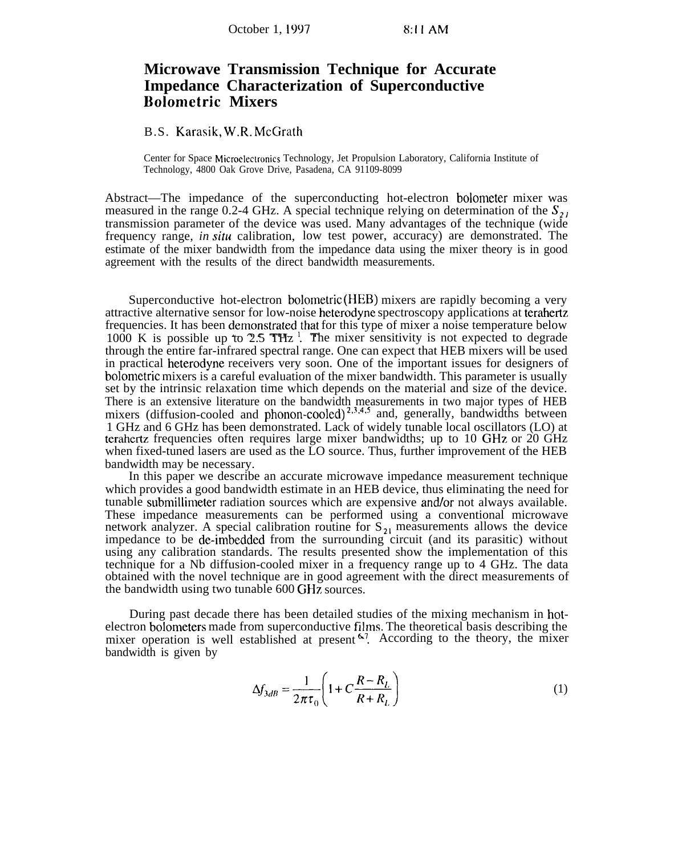## **Microwave Transmission Technique for Accurate Impedance Characterization of Superconductive Bolometric Mixers**

B.S. Karasik, W.R. McGrath

Center for Space Microelectronics Technology, Jet Propulsion Laboratory, California Institute of Technology, 4800 Oak Grove Drive, Pasadena, CA 91109-8099

Abstract—The impedance of the superconducting hot-electron bolometer mixer was measured in the range 0.2-4 GHz. A special technique relying on determination of the  $S_{21}$ transmission parameter of the device was used. Many advantages of the technique (wide frequency range, *in situ* calibration, low test power, accuracy) are demonstrated. The estimate of the mixer bandwidth from the impedance data using the mixer theory is in good agreement with the results of the direct bandwidth measurements.

Superconductive hot-electron bolometric (HEB) mixers are rapidly becoming a very attractive alternative sensor for low-noise heterodyne spectroscopy applications at terahertz frequencies. It has been demonstrated that for this type of mixer a noise temperature below 1000 K is possible up to  $2.5$  THz<sup>1</sup>. The mixer sensitivity is not expected to degrade through the entire far-infrared spectral range. One can expect that HEB mixers will be used in practical heterodyne receivers very soon. One of the important issues for designers of bolornetric mixers is a careful evaluation of the mixer bandwidth. This parameter is usually set by the intrinsic relaxation time which depends on the material and size of the device. There is an extensive literature on the bandwidth measurements in two major types of HEB mixers (diffusion-cooled and phonon-cooled)<sup>2,3,4,5</sup> and, generally, bandwidths between 1 GHz and 6 GHz has been demonstrated. Lack of widely tunable local oscillators (LO) at terahertz frequencies often requires large mixer bandwidths; up to 10 GHz or 20 GHz when fixed-tuned lasers are used as the LO source. Thus, further improvement of the HEB bandwidth may be necessary.

In this paper we describe an accurate microwave impedance measurement technique which provides a good bandwidth estimate in an HEB device, thus eliminating the need for tunable submillimeter radiation sources which are expensive and/or not always available. These impedance measurements can be performed using a conventional microwave network analyzer. A special calibration routine for  $S_{21}$  measurements allows the device impedance to be de-imbedded from the surrounding circuit (and its parasitic) without using any calibration standards. The results presented show the implementation of this technique for a Nb diffusion-cooled mixer in a frequency range up to 4 GHz. The data obtained with the novel technique are in good agreement with the direct measurements of the bandwidth using two tunable 600 GHz sources.

During past decade there has been detailed studies of the mixing mechanism in hotelectron bolometers made from superconductive films. The theoretical basis describing the mixer operation is well established at present  $6.7$ . According to the theory, the mixer bandwidth is given by

$$
\Delta f_{3dB} = \frac{1}{2\pi\tau_0} \left( 1 + C \frac{R - R_L}{R + R_L} \right) \tag{1}
$$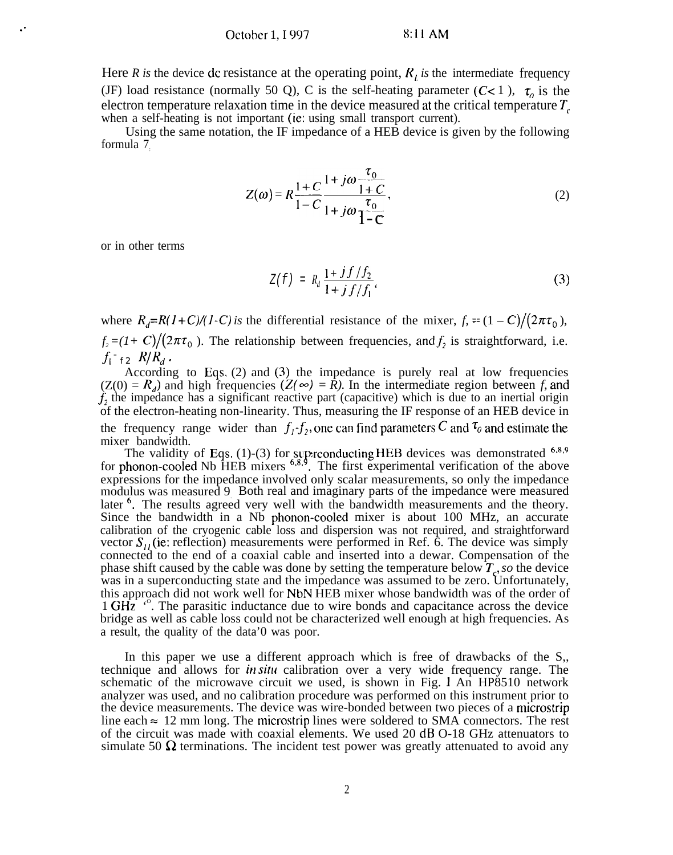Here *R* is the device dc resistance at the operating point,  $R_t$  is the intermediate frequency (JF) load resistance (normally 50 Q), C is the self-heating parameter (C< 1),  $\tau_o$  is the electron temperature relaxation time in the device measured at the critical temperature  $T_c$ when a self-heating is not important (ie: using small transport current).

Using the same notation, the IF impedance of a HEB device is given by the following formula 7:

$$
Z(\omega) = R \frac{1+C}{1-C} \frac{1+j\omega \frac{\tau_0}{1+C}}{1+j\omega \frac{\tau_0}{1-C}},
$$
\n(2)

or in other terms

$$
Z(f) = R_d \frac{1 + j f/f_2}{1 + j f/f_1}.
$$
 (3)

where  $R_d = R(1+C)/(1-C)$  is the differential resistance of the mixer,  $f_r = (1-C)/(2\pi\tau_0)$ ,  $f_2 = (1+C)/(2\pi\tau_0)$ . The relationship between frequencies, and  $f_2$  is straightforward, i.e.  $f_{\mathsf{l}}$  =

*f2*  $R/R_d$ .<br>According to Eqs. (2) and (3) the impedance is purely real at low frequencies  $(Z(0) = R_d)$  and high frequencies  $(Z(\infty) = \overline{R})$ . In the intermediate region between *f*, and  $\hat{L}_2$  the impedance has a significant reactive part (capacitive) which is due to an inertial origin of the electron-heating non-linearity. Thus, measuring the IF response of an HEB device in the frequency range wider than  $f_1 - f_2$ , one can find parameters C and  $\tau_0$  and estimate the mixer bandwidth.

The validity of Eqs. (1)-(3) for superconducting HEB devices was demonstrated  $6.8.9$  for phonon-cooled Nb HEB mixers  $6.8.9$ . The first experimental verification of the above expressions for the impedance involved only scalar measurements, so only the impedance modulus was measured 9. Both real and imaginary parts of the impedance were measured later <sup>6</sup>. The results agreed very well with the bandwidth measurements and the theory. Since the bandwidth in a Nb phonon-cooled mixer is about 100 MHz, an accurate calibration of the cryogenic cable loss and dispersion was not required, and straightforward vector  $S_{1}$ , (ie: reflection) measurements were performed in Ref. 6. The device was simply connected to the end of a coaxial cable and inserted into a dewar. Compensation of the phase shift caused by the cable was done by setting the temperature below  $T_c$ , so the device was in a superconducting state and the impedance was assumed to be zero. Unfortunately, this approach did not work well for NbN HEB mixer whose bandwidth was of the order of 1 GHz<sup>4</sup><sup>o</sup>. The parasitic inductance due to wire bonds and capacitance across the device bridge as well as cable loss could not be characterized well enough at high frequencies. As a result, the quality of the data'0 was poor.

In this paper we use a different approach which is free of drawbacks of the S,, technique and allows for *in situ* calibration over a very wide frequency range. The schematic of the microwave circuit we used, is shown in Fig. 1 An HP8510 network analyzer was used, and no calibration procedure was performed on this instrument prior to the device measurements. The device was wire-bonded between two pieces of a rnicrostrip line each  $\approx$  12 mm long. The microstrip lines were soldered to SMA connectors. The rest of the circuit was made with coaxial elements. We used 20 dB O-18 GHz attenuators to simulate 50  $\Omega$  terminations. The incident test power was greatly attenuated to avoid any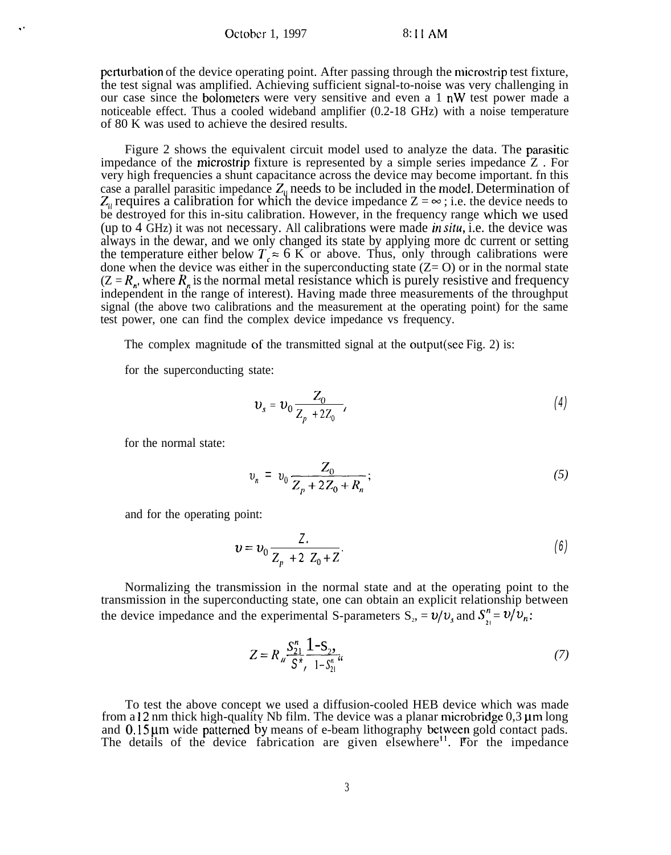October 1, 1997 8:11 AM

perturbation of the device operating point. After passing through the microstrip test fixture, the test signal was amplified. Achieving sufficient signal-to-noise was very challenging in our case since the bolometers were very sensitive and even a 1 nW test power made a noticeable effect. Thus a cooled wideband amplifier (0.2-18 GHz) with a noise temperature of 80 K was used to achieve the desired results.

Figure 2 shows the equivalent circuit model used to analyze the data. The parasitic impedance of the microstrip fixture is represented by a simple series impedance Z . For very high frequencies a shunt capacitance across the device may become important. fn this case a parallel parasitic impedance  $Z_{\parallel}$  needs to be included in the model. Determination of  $Z_{\parallel}$  requires a calibration for which the device impedance  $Z = \infty$ ; i.e. the device needs to be destroyed for this in-situ calibration. However, in the frequency range which we used (up to 4 GHz) it was not necessary. All calibrations were made in siru, i.e. the device was always in the dewar, and we only changed its state by applying more dc current or setting the temperature either below  $T \approx 6$  K or above. Thus, only through calibrations were done when the device was either in the superconducting state  $(Z= 0)$  or in the normal state  $(Z = R_n)$ , where  $R_n$  is the normal metal resistance which is purely resistive and frequency independent in the range of interest). Having made three measurements of the throughput signal (the above two calibrations and the measurement at the operating point) for the same test power, one can find the complex device impedance vs frequency.

The complex magnitude of the transmitted signal at the output(see Fig. 2) is:

for the superconducting state:

$$
v_s = v_0 \frac{Z_0}{Z_p + 2Z_0} \tag{4}
$$

for the normal state:

$$
v_n = v_0 \frac{Z_0}{Z_p + 2Z_0 + R_n};
$$
\n(5)

and for the operating point:

$$
v = v_0 \frac{Z}{Z_p + 2 Z_0 + Z}.
$$
 (6)

Normalizing the transmission in the normal state and at the operating point to the transmission in the superconducting state, one can obtain an explicit relationship between the device impedance and the experimental S-parameters  $S_2 = v/v_s$  and  $S''_i = v/v_n$ :

$$
Z = R_{\rm u} \frac{S_{21}^n}{S^*} \frac{1 - S_2}{1 - S_{21}^n} \tag{7}
$$

To test the above concept we used a diffusion-cooled HEB device which was made from a  $12 \text{ nm}$  thick high-quality Nb film. The device was a planar microbridge  $0,3 \mu m$  long and  $0.15 \mu m$  wide patterned The details of the device by means of e-beam lithography between gold contact pads. fabrication are given elsewhere<sup>11</sup>. For the impedance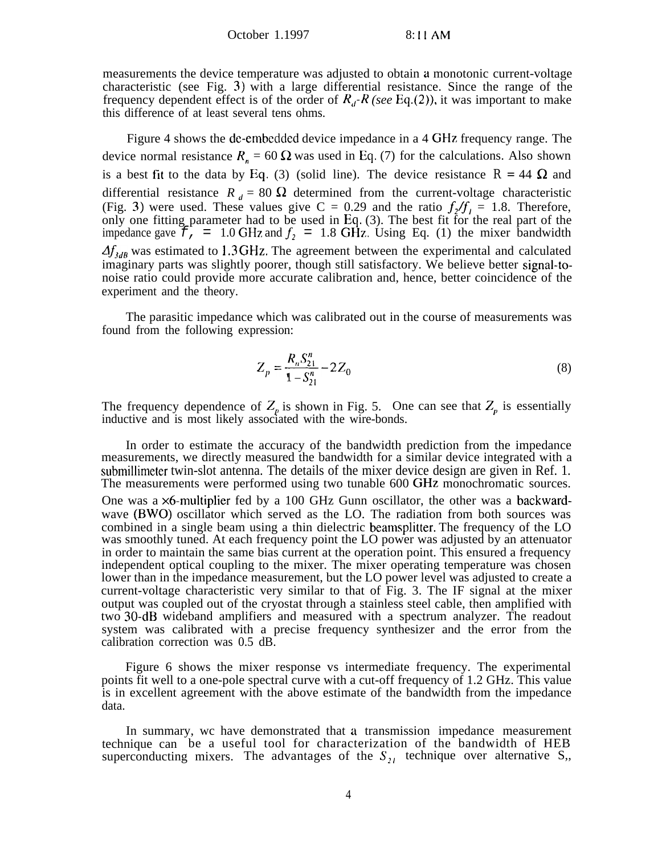measurements the device temperature was adjusted to obtain a monotonic current-voltage characteristic (see Fig. 3) with a large differential resistance. Since the range of the frequency dependent effect is of the order of  $R_d$ - $R$  (see Eq.(2)), it was important to make this difference of at least several tens ohms.

Figure 4 shows the de-embedded device impedance in a 4 GHz frequency range. The device normal resistance  $R_n = 60 \Omega$  was used in Eq. (7) for the calculations. Also shown is a best fit to the data by Eq. (3) (solid line). The device resistance  $R = 44 \Omega$  and differential resistance  $R_d = 80 \Omega$  determined from the current-voltage characteristic (Fig. 3) were used. These values give C = 0.29 and the ratio  $f_2/f_1 = 1.8$ . Therefore, only one fitting parameter had to be used in Eq. (3). The best fit for the real part of the impedance gave  $\mathcal{F}_t$  = 1.0 GHz and  $f_2$  = 1.8 GHz. Using Eq. (1) the mixer bandwidth  $\Delta f_{3dB}$  was estimated to 1.3 GHz. The agreement between the experimental and calculated imaginary parts was slightly poorer, though still satisfactory. We believe better signal-tonoise ratio could provide more accurate calibration and, hence, better coincidence of the experiment and the theory.

The parasitic impedance which was calibrated out in the course of measurements was found from the following expression:

$$
Z_p = \frac{R_n S_{21}^n}{1 - S_{21}^n} - 2Z_0 \tag{8}
$$

The frequency dependence of  $Z_p$  is shown in Fig. 5. One can see that  $Z_p$  is essentially inductive and is most likely associated with the wire-bonds.

In order to estimate the accuracy of the bandwidth prediction from the impedance measurements, we directly measured the bandwidth for a similar device integrated with a submillimeter twin-slot antenna. The details of the mixer device design are given in Ref. 1. The measurements were performed using two tunable 600 GHz monochromatic sources.

One was a  $\times$ 6-multiplier fed by a 100 GHz Gunn oscillator, the other was a backwardwave (BWO) oscillator which served as the LO. The radiation from both sources was combined in a single beam using a thin dielectric beamsplitter. The frequency of the LO was smoothly tuned. At each frequency point the LO power was adjusted by an attenuator in order to maintain the same bias current at the operation point. This ensured a frequency independent optical coupling to the mixer. The mixer operating temperature was chosen lower than in the impedance measurement, but the LO power level was adjusted to create a current-voltage characteristic very similar to that of Fig. 3. The IF signal at the mixer output was coupled out of the cryostat through a stainless steel cable, then amplified with two 30-dB wideband amplifiers and measured with a spectrum analyzer. The readout system was calibrated with a precise frequency synthesizer and the error from the calibration correction was 0.5 dB.

Figure 6 shows the mixer response vs intermediate frequency. The experimental points fit well to a one-pole spectral curve with a cut-off frequency of 1.2 GHz. This value is in excellent agreement with the above estimate of the bandwidth from the impedance data.

In summary, wc have demonstrated that a transmission impedance measurement technique can be a useful tool for characterization of the bandwidth of HEB superconducting mixers. The advantages of the  $S_{21}$  technique over alternative S,,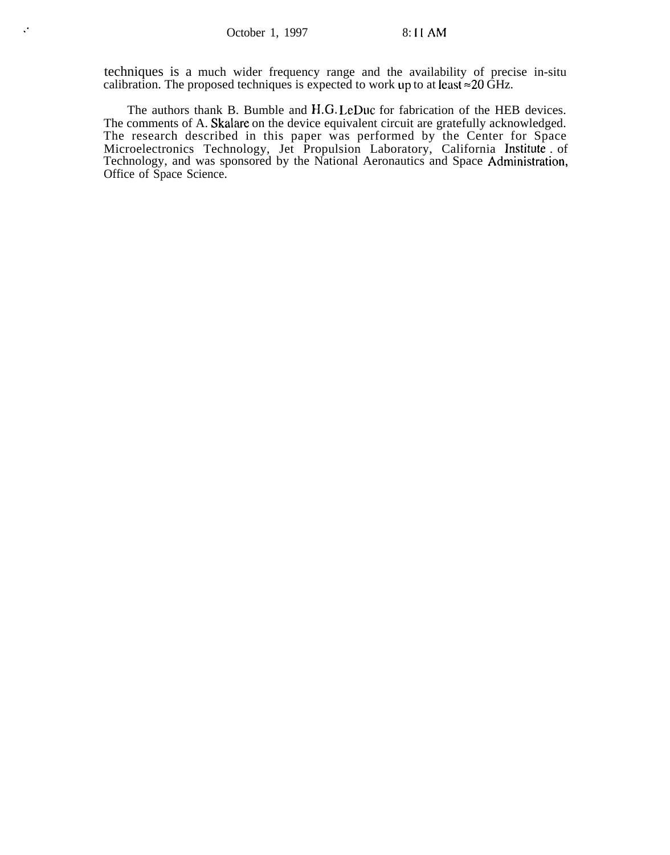techniques is a much wider frequency range and the availability of precise in-situ calibration. The proposed techniques is expected to work up to at least  $\approx$  20 GHz.

The authors thank B. Bumble and H.G. LeDuc for fabrication of the HEB devices. The comments of A. Skalare on the device equivalent circuit are gratefully acknowledged. The research described in this paper was performed by the Center for Space Microelectronics Technology, Jet Propulsion Laboratory, California Institute . of Technology, and was sponsored by the National Aeronautics and Space Administration Office of Space Science.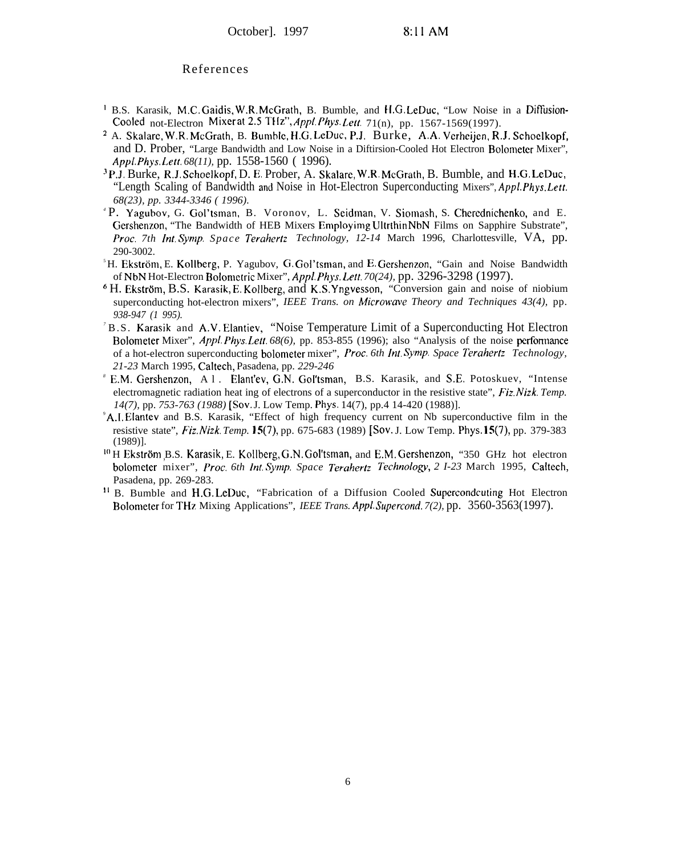## References

- 1 B.S. Karasik, M.C. Gaidis, W.R. McGrath, B. Bumble, and H.G. LeDuc, "Low Noise in a Diffusion-Cooled not-Electron Mixer at 2.5 THz", Appl. Phys. Lett. 71(n), pp. 1567-1569(1997).
- <sup>2</sup> A. Skalare, W.R. McGrath, B. Bumble, H.G. LeDuc, P.J. Burke, A.A. Verheijen, R.J. Schoelkopf, and D. Prober, "Large Bandwidth and Low Noise in a Diftirsion-Cooled Hot Electron Bolometer Mixer", *Ap,ol. Phys. Left. 68(11),* pp. 1558-1560 ( 1996).
- <sup>3</sup>P.J. Burke, R.J. Schoelkopf, D. E. Prober, A. Skalare, W.R. McGrath, B. Bumble, and H.G. LeDuc, "Length Scaling of Bandwidth and Noise in Hot-Electron Superconducting Mixers", *AppL Phys. Left. 68(23), pp. 3344-3346 ( 1996).*
- *<sup>4</sup>*P. Yagubov, G. Gol'tsman, B. Voronov, L. Scidman, V. Siomash, S. Chcrednichenko, and E. Gershenzon, "The Bandwidth of HEB Mixers Employimg Ultrthin NbN Films on Sapphire Substrate", *Proc. 7th Int. Symp. Space Terahertz Technology, 12-14* March 1996, Charlottesville, VA, pp. 290-3002.
- $<sup>5</sup>H$ . Ekström, E. Kollberg, P. Yagubov, G. Gol'tsman, and E. Gershenzon, "Gain and Noise Bandwidth</sup> of NbN Hot-Electron Bolornctric Mixer", *Appl. Phys. Lett. 70(24),* pp. 3296-3298 (1997).
- $6$  H. Ekström, B.S. Karasik, E. Kollberg, and K.S. Yngvesson, "Conversion gain and noise of niobium superconducting hot-electron mixers", *IEEE Trans. on Microwave Theory and Techniques 43(4)*, pp. *938-947 (1 995).*
- *<sup>7</sup>*B.S. Karasik and A.V. Elantiev, "Noise Temperature Limit of a Superconducting Hot Electron Bolorneter Mixer", *Appl. Phys. Lett. 68(6),* pp. 853-855 (1996); also "Analysis of the noise pcrfommnce of a hot-electron superconducting bolometer mixer", *F'roc. 6th lnt. Symp. Space Terahertz Technology, 21-23* March 1995, Caltech, Pasadena, pp. *229-246*
- *<sup>8</sup>*E.M. Gershenzon, Al. Elant'ev, G,N. Gol'tsman, B.S. Karasik, and S.E. Potoskuev, "Intense electromagnetic radiation heat ing of electrons of a superconductor in the resistive state", *Fiz. Nizk. Temp. 14(7),* pp. *753-763 (1988) [Sov.* J. Low Temp. Phys. 14(7), pp.4 14-420 (1988)].
- <sup>9</sup>A.I. Elantev and B.S. Karasik, "Effect of high frequency current on Nb superconductive film in the resistive state", *Fiz.Nizk. Temp. 15(7),* pp. 675-683 (1989) [Sov. J. Low Temp. Phys. 15(7), pp. 379-383 (1989)].
- <sup>10</sup> H Ekström B.S. Karasik, E. Kollberg, G.N. Gol'tsman, and E.M. Gershenzon, "350 GHz hot electron bolometer mixer", *Proc. 6th Int. Symp. Space Terahertz Technology*, 2 *I-23* March 1995, Caltech, Pasadena, pp. 269-283.
- <sup>11</sup> B. Bumble and H.G. LeDuc, "Fabrication of a Diffusion Cooled Supercondcuting Hot Electron Bolometcr for THz Mixing Applications", *IEEE Trans. Appl. Supercond. 7(2),* pp. 3560-3563(1997).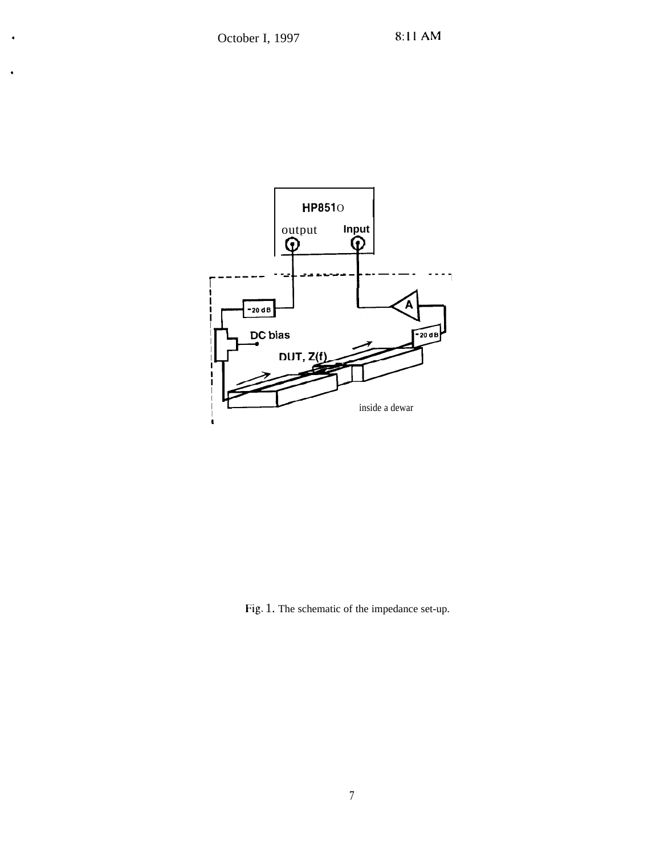

Fig. 1. The schematic of the impedance set-up.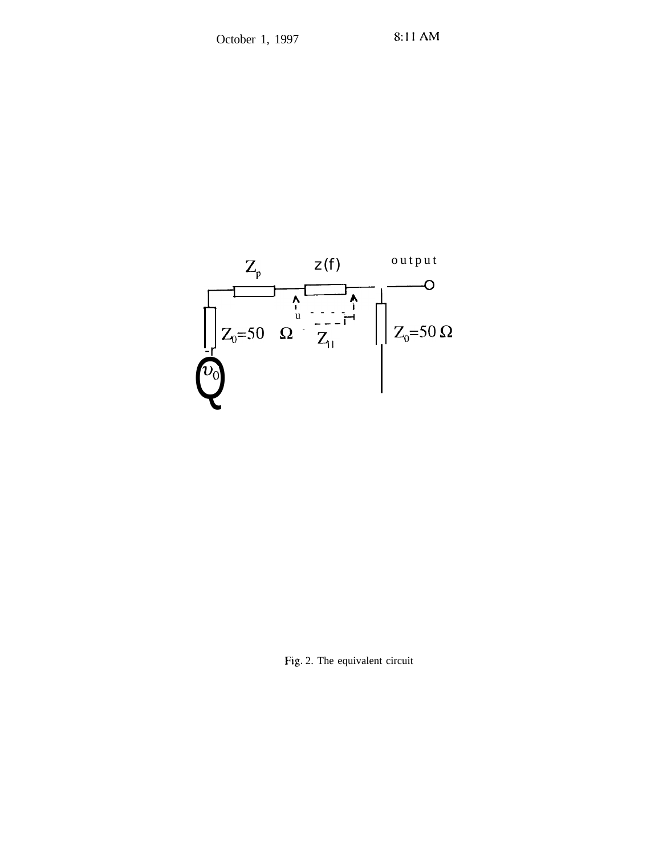

Fig. 2. The equivalent circuit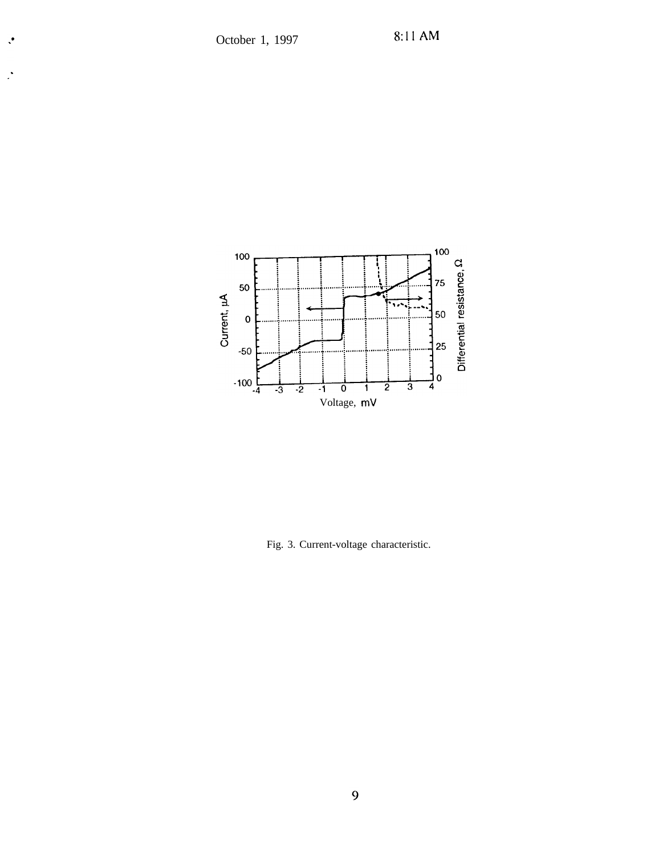$\ddot{\cdot}$ 

 $\mathbf{R}$ 



Fig. 3. Current-voltage characteristic.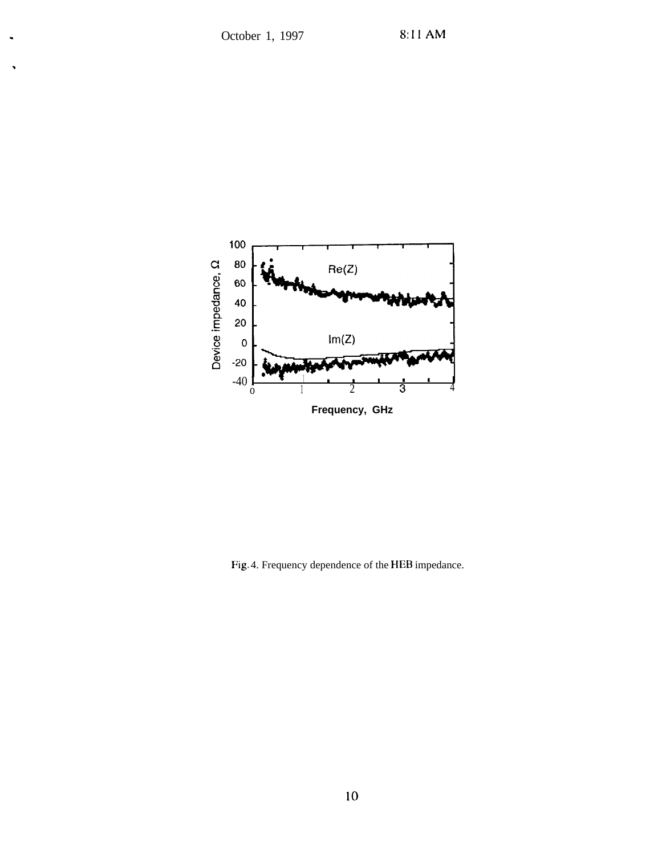.



Fig. 4. Frequency dependence of the HEB impedance.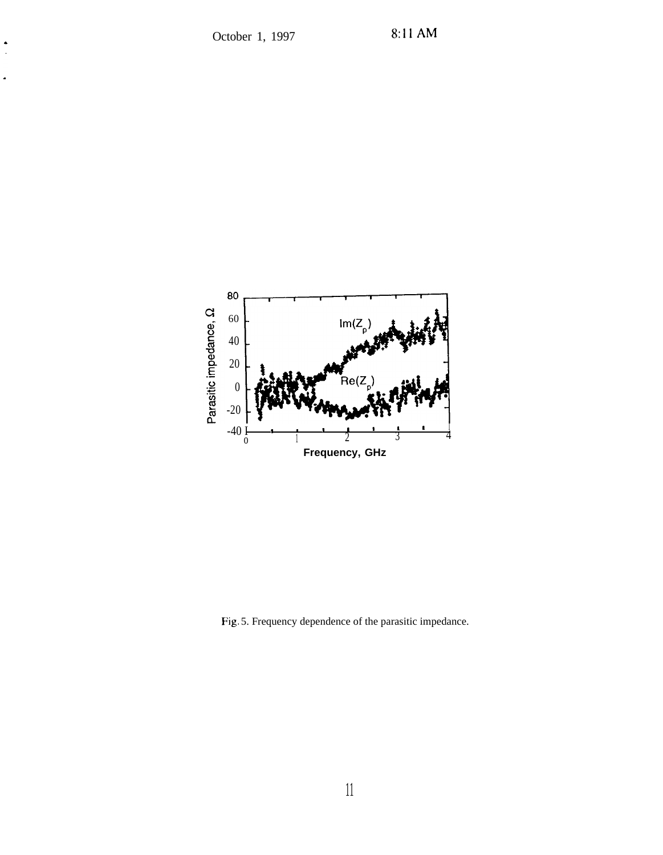.

÷,



Fig. 5. Frequency dependence of the parasitic impedance.